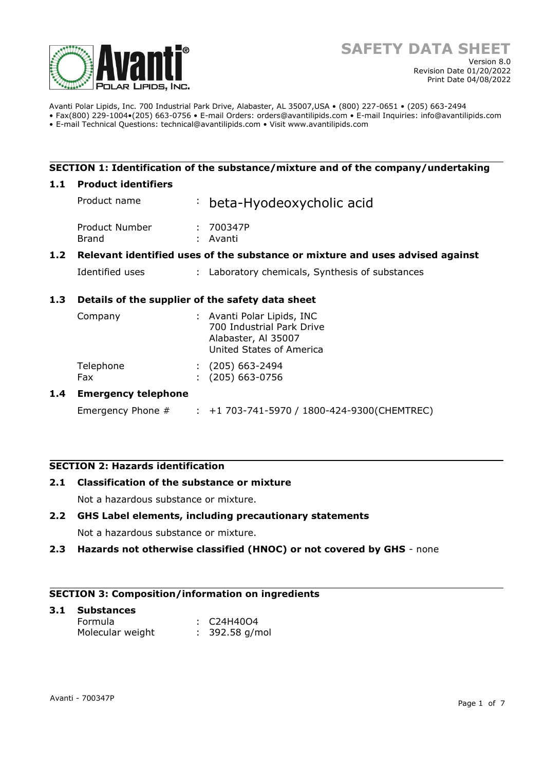

Avanti Polar Lipids, Inc. 700 Industrial Park Drive, Alabaster, AL 35007,USA • (800) 227-0651 • (205) 663-2494 • Fax(800) 229-1004•(205) 663-0756 • E-mail Orders: orders@avantilipids.com • E-mail Inquiries: info@avantilipids.com

• E-mail Technical Questions: technical@avantilipids.com • Visit www.avantilipids.com

# **SECTION 1: Identification of the substance/mixture and of the company/undertaking**

#### **1.1 Product identifiers**

|                  | Product name                                                                  |    | : beta-Hyodeoxycholic acid                                                     |
|------------------|-------------------------------------------------------------------------------|----|--------------------------------------------------------------------------------|
|                  | Product Number<br>Brand                                                       | ÷. | 700347P<br>Avanti                                                              |
| 1.2 <sub>1</sub> | Relevant identified uses of the substance or mixture and uses advised against |    |                                                                                |
|                  | Identified uses                                                               |    | : Laboratory chemicals, Synthesis of substances                                |
| 1.3              | Details of the supplier of the safety data sheet                              |    |                                                                                |
|                  | Company                                                                       |    | : Avanti Polar Lipids, INC<br>700 Industrial Park Drive<br>Alabaster, Al 35007 |

|  |  |  | United States of America |
|--|--|--|--------------------------|
|--|--|--|--------------------------|

| Telephone | $(205)$ 663-2494 |
|-----------|------------------|
| Fax       | $(205)$ 663-0756 |

# **1.4 Emergency telephone**

Emergency Phone # : +1 703-741-5970 / 1800-424-9300(CHEMTREC)

# **SECTION 2: Hazards identification**

#### **2.1 Classification of the substance or mixture**

Not a hazardous substance or mixture.

# **2.2 GHS Label elements, including precautionary statements**

Not a hazardous substance or mixture.

**2.3 Hazards not otherwise classified (HNOC) or not covered by GHS** - none

# **SECTION 3: Composition/information on ingredients**

| 3.1 Substances   |  |                       |  |  |  |
|------------------|--|-----------------------|--|--|--|
| Formula          |  | $\therefore$ C24H40O4 |  |  |  |
| Molecular weight |  | $: 392.58$ g/mol      |  |  |  |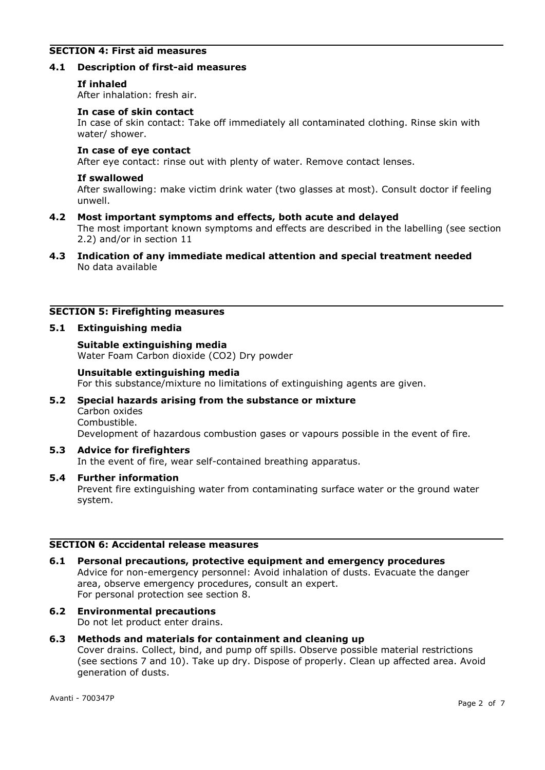# **SECTION 4: First aid measures**

#### **4.1 Description of first-aid measures**

#### **If inhaled**

After inhalation: fresh air.

#### **In case of skin contact**

In case of skin contact: Take off immediately all contaminated clothing. Rinse skin with water/ shower.

#### **In case of eye contact**

After eye contact: rinse out with plenty of water. Remove contact lenses.

#### **If swallowed**

After swallowing: make victim drink water (two glasses at most). Consult doctor if feeling unwell.

#### **4.2 Most important symptoms and effects, both acute and delayed**

The most important known symptoms and effects are described in the labelling (see section 2.2) and/or in section 11

**4.3 Indication of any immediate medical attention and special treatment needed** No data available

# **SECTION 5: Firefighting measures**

#### **5.1 Extinguishing media**

**Suitable extinguishing media** Water Foam Carbon dioxide (CO2) Dry powder

#### **Unsuitable extinguishing media**

For this substance/mixture no limitations of extinguishing agents are given.

# **5.2 Special hazards arising from the substance or mixture** Carbon oxides Combustible. Development of hazardous combustion gases or vapours possible in the event of fire.

# **5.3 Advice for firefighters**

In the event of fire, wear self-contained breathing apparatus.

#### **5.4 Further information**

Prevent fire extinguishing water from contaminating surface water or the ground water system.

# **SECTION 6: Accidental release measures**

- **6.1 Personal precautions, protective equipment and emergency procedures** Advice for non-emergency personnel: Avoid inhalation of dusts. Evacuate the danger area, observe emergency procedures, consult an expert. For personal protection see section 8.
- **6.2 Environmental precautions** Do not let product enter drains.

# **6.3 Methods and materials for containment and cleaning up**

Cover drains. Collect, bind, and pump off spills. Observe possible material restrictions (see sections 7 and 10). Take up dry. Dispose of properly. Clean up affected area. Avoid generation of dusts.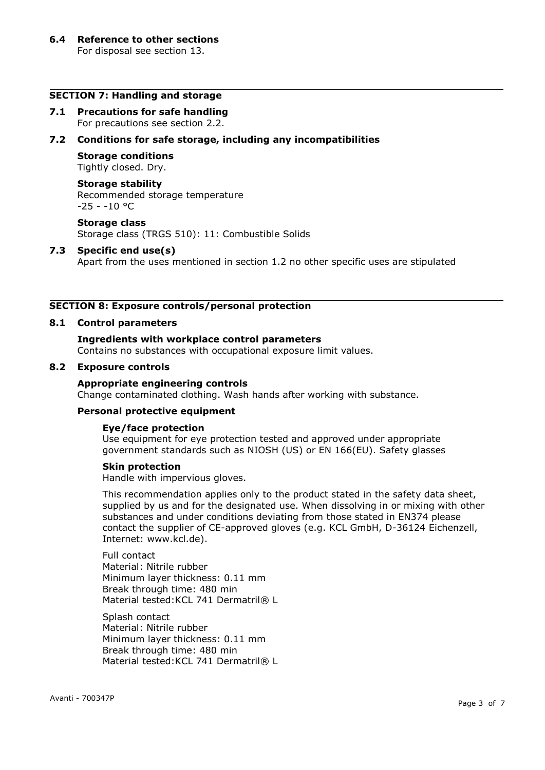#### **SECTION 7: Handling and storage**

**7.1 Precautions for safe handling** For precautions see section 2.2.

# **7.2 Conditions for safe storage, including any incompatibilities**

#### **Storage conditions**

Tightly closed. Dry.

#### **Storage stability**

Recommended storage temperature  $-25 - -10$  °C

#### **Storage class**

Storage class (TRGS 510): 11: Combustible Solids

#### **7.3 Specific end use(s)**

Apart from the uses mentioned in section 1.2 no other specific uses are stipulated

# **SECTION 8: Exposure controls/personal protection**

#### **8.1 Control parameters**

# **Ingredients with workplace control parameters**

Contains no substances with occupational exposure limit values.

#### **8.2 Exposure controls**

#### **Appropriate engineering controls**

Change contaminated clothing. Wash hands after working with substance.

# **Personal protective equipment**

#### **Eye/face protection**

Use equipment for eye protection tested and approved under appropriate government standards such as NIOSH (US) or EN 166(EU). Safety glasses

#### **Skin protection**

Handle with impervious gloves.

This recommendation applies only to the product stated in the safety data sheet, supplied by us and for the designated use. When dissolving in or mixing with other substances and under conditions deviating from those stated in EN374 please contact the supplier of CE-approved gloves (e.g. KCL GmbH, D-36124 Eichenzell, Internet: www.kcl.de).

Full contact Material: Nitrile rubber Minimum layer thickness: 0.11 mm Break through time: 480 min Material tested: KCL 741 Dermatril® L

Splash contact Material: Nitrile rubber Minimum layer thickness: 0.11 mm Break through time: 480 min Material tested: KCL 741 Dermatril® L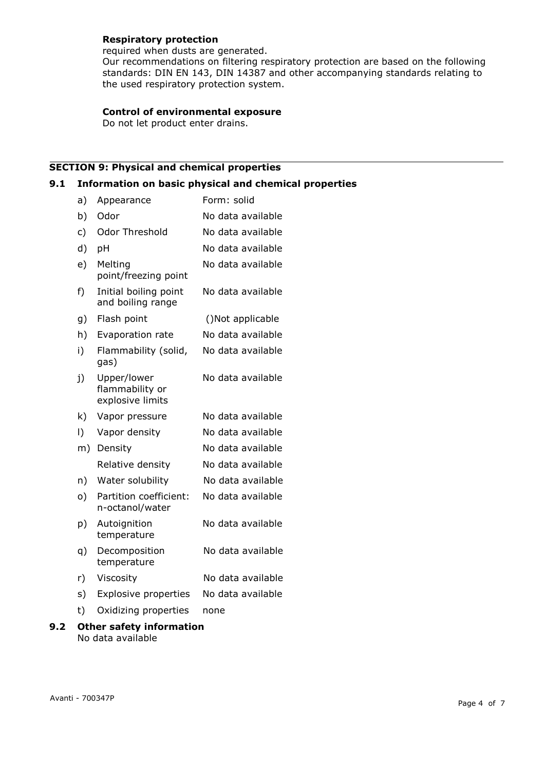# **Respiratory protection**

required when dusts are generated. Our recommendations on filtering respiratory protection are based on the following standards: DIN EN 143, DIN 14387 and other accompanying standards relating to the used respiratory protection system.

# **Control of environmental exposure**

Do not let product enter drains.

# **SECTION 9: Physical and chemical properties**

# **9.1 Information on basic physical and chemical properties**

| a)        | Appearance                                         | Form: solid       |
|-----------|----------------------------------------------------|-------------------|
| b)        | Odor                                               | No data available |
| c)        | Odor Threshold                                     | No data available |
| d)        | pH                                                 | No data available |
| e)        | Melting<br>point/freezing point                    | No data available |
| f)        | Initial boiling point<br>and boiling range         | No data available |
| g)        | Flash point                                        | ()Not applicable  |
| h)        | Evaporation rate                                   | No data available |
| i)        | Flammability (solid,<br>gas)                       | No data available |
| j)        | Upper/lower<br>flammability or<br>explosive limits | No data available |
| k)        | Vapor pressure                                     | No data available |
| $\vert$ ) | Vapor density                                      | No data available |
| m)        | Density                                            | No data available |
|           | Relative density                                   | No data available |
| n)        | Water solubility                                   | No data available |
| o)        | Partition coefficient:<br>n-octanol/water          | No data available |
| p)        | Autoignition<br>temperature                        | No data available |
| q)        | Decomposition<br>temperature                       | No data available |
| r)        | Viscosity                                          | No data available |
| s)        | <b>Explosive properties</b>                        | No data available |
| t)        | Oxidizing properties                               | none              |
| ⌒∸⊾       | au anfahu infaumantia                              |                   |

**<sup>9.2</sup> Other safety information** No data available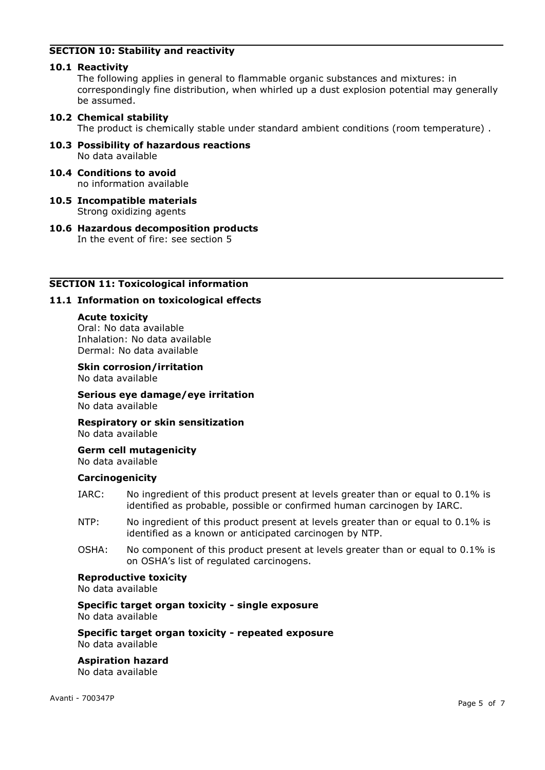# **SECTION 10: Stability and reactivity**

# **10.1 Reactivity**

The following applies in general to flammable organic substances and mixtures: in correspondingly fine distribution, when whirled up a dust explosion potential may generally be assumed.

# **10.2 Chemical stability**

The product is chemically stable under standard ambient conditions (room temperature) .

- **10.3 Possibility of hazardous reactions** No data available
- **10.4 Conditions to avoid** no information available
- **10.5 Incompatible materials** Strong oxidizing agents
- **10.6 Hazardous decomposition products** In the event of fire: see section 5

# **SECTION 11: Toxicological information**

# **11.1 Information on toxicological effects**

# **Acute toxicity**

Oral: No data available Inhalation: No data available Dermal: No data available

# **Skin corrosion/irritation**

No data available

**Serious eye damage/eye irritation** No data available

**Respiratory or skin sensitization** No data available

#### **Germ cell mutagenicity** No data available

# **Carcinogenicity**

- IARC: No ingredient of this product present at levels greater than or equal to 0.1% is identified as probable, possible or confirmed human carcinogen by IARC.
- NTP: No ingredient of this product present at levels greater than or equal to 0.1% is identified as a known or anticipated carcinogen by NTP.
- OSHA: No component of this product present at levels greater than or equal to 0.1% is on OSHA's list of regulated carcinogens.

# **Reproductive toxicity**

No data available

#### **Specific target organ toxicity - single exposure** No data available

**Specific target organ toxicity - repeated exposure** No data available

# **Aspiration hazard**

No data available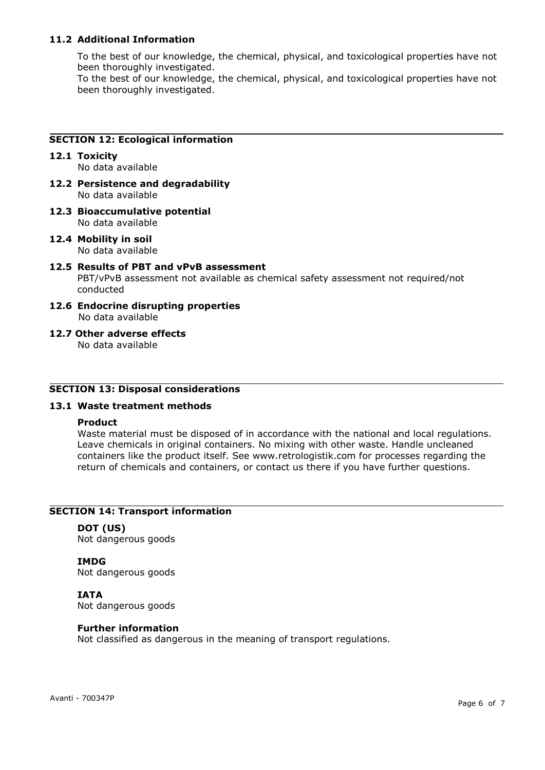# **11.2 Additional Information**

To the best of our knowledge, the chemical, physical, and toxicological properties have not been thoroughly investigated.

To the best of our knowledge, the chemical, physical, and toxicological properties have not been thoroughly investigated.

# **SECTION 12: Ecological information**

- **12.1 Toxicity** No data available
- **12.2 Persistence and degradability** No data available
- **12.3 Bioaccumulative potential** No data available
- **12.4 Mobility in soil** No data available
- **12.5 Results of PBT and vPvB assessment** PBT/vPvB assessment not available as chemical safety assessment not required/not conducted
- **12.6 Endocrine disrupting properties** No data available
- **12.7 Other adverse effects** No data available

# **SECTION 13: Disposal considerations**

# **13.1 Waste treatment methods**

#### **Product**

Waste material must be disposed of in accordance with the national and local regulations. Leave chemicals in original containers. No mixing with other waste. Handle uncleaned containers like the product itself. See www.retrologistik.com for processes regarding the return of chemicals and containers, or contact us there if you have further questions.

# **SECTION 14: Transport information**

**DOT (US)** Not dangerous goods

**IMDG** Not dangerous goods

#### **IATA**

Not dangerous goods

#### **Further information**

Not classified as dangerous in the meaning of transport regulations.